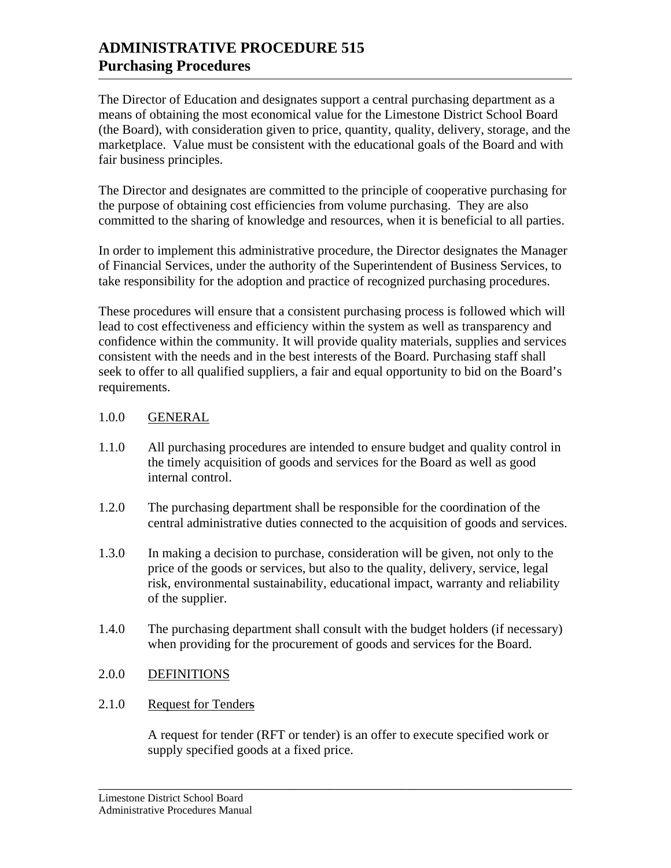The Director of Education and designates support a central purchasing department as a means of obtaining the most economical value for the Limestone District School Board (the Board), with consideration given to price, quantity, quality, delivery, storage, and the marketplace. Value must be consistent with the educational goals of the Board and with fair business principles.

The Director and designates are committed to the principle of cooperative purchasing for the purpose of obtaining cost efficiencies from volume purchasing. They are also committed to the sharing of knowledge and resources, when it is beneficial to all parties.

In order to implement this administrative procedure, the Director designates the Manager of Financial Services, under the authority of the Superintendent of Business Services, to take responsibility for the adoption and practice of recognized purchasing procedures.

These procedures will ensure that a consistent purchasing process is followed which will lead to cost effectiveness and efficiency within the system as well as transparency and confidence within the community. It will provide quality materials, supplies and services consistent with the needs and in the best interests of the Board. Purchasing staff shall seek to offer to all qualified suppliers, a fair and equal opportunity to bid on the Board's requirements.

## 1.0.0 GENERAL

- 1.1.0 All purchasing procedures are intended to ensure budget and quality control in the timely acquisition of goods and services for the Board as well as good internal control.
- 1.2.0 The purchasing department shall be responsible for the coordination of the central administrative duties connected to the acquisition of goods and services.
- 1.3.0 In making a decision to purchase, consideration will be given, not only to the price of the goods or services, but also to the quality, delivery, service, legal risk, environmental sustainability, educational impact, warranty and reliability of the supplier.
- 1.4.0 The purchasing department shall consult with the budget holders (if necessary) when providing for the procurement of goods and services for the Board.

# 2.0.0 DEFINITIONS

# 2.1.0 Request for Tenders

A request for tender (RFT or tender) is an offer to execute specified work or supply specified goods at a fixed price.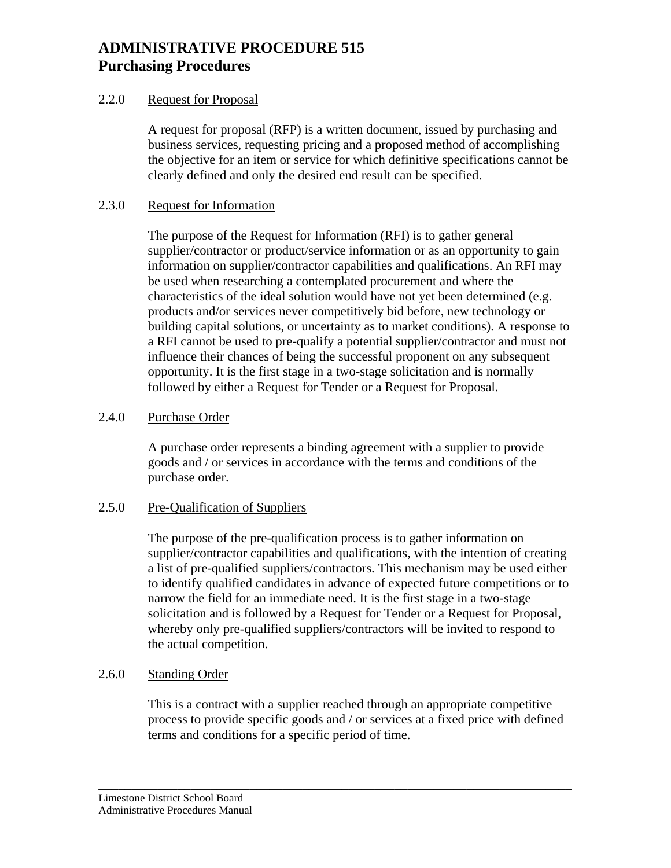# 2.2.0 Request for Proposal

A request for proposal (RFP) is a written document, issued by purchasing and business services, requesting pricing and a proposed method of accomplishing the objective for an item or service for which definitive specifications cannot be clearly defined and only the desired end result can be specified.

# 2.3.0 Request for Information

 The purpose of the Request for Information (RFI) is to gather general supplier/contractor or product/service information or as an opportunity to gain information on supplier/contractor capabilities and qualifications. An RFI may be used when researching a contemplated procurement and where the characteristics of the ideal solution would have not yet been determined (e.g. products and/or services never competitively bid before, new technology or building capital solutions, or uncertainty as to market conditions). A response to a RFI cannot be used to pre-qualify a potential supplier/contractor and must not influence their chances of being the successful proponent on any subsequent opportunity. It is the first stage in a two-stage solicitation and is normally followed by either a Request for Tender or a Request for Proposal.

# 2.4.0 Purchase Order

A purchase order represents a binding agreement with a supplier to provide goods and / or services in accordance with the terms and conditions of the purchase order.

# 2.5.0 Pre-Qualification of Suppliers

The purpose of the pre-qualification process is to gather information on supplier/contractor capabilities and qualifications, with the intention of creating a list of pre-qualified suppliers/contractors. This mechanism may be used either to identify qualified candidates in advance of expected future competitions or to narrow the field for an immediate need. It is the first stage in a two-stage solicitation and is followed by a Request for Tender or a Request for Proposal, whereby only pre-qualified suppliers/contractors will be invited to respond to the actual competition.

# 2.6.0 Standing Order

This is a contract with a supplier reached through an appropriate competitive process to provide specific goods and / or services at a fixed price with defined terms and conditions for a specific period of time.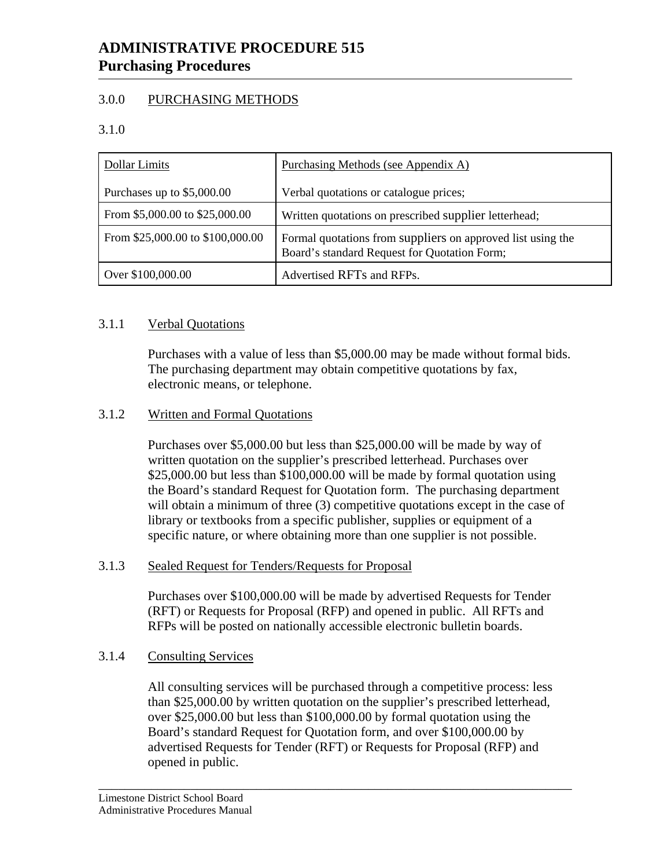# 3.0.0 PURCHASING METHODS

3.1.0

| Dollar Limits                    | Purchasing Methods (see Appendix A)                                                                         |
|----------------------------------|-------------------------------------------------------------------------------------------------------------|
| Purchases up to \$5,000.00       | Verbal quotations or catalogue prices;                                                                      |
| From \$5,000.00 to \$25,000.00   | Written quotations on prescribed supplier letterhead;                                                       |
| From \$25,000.00 to \$100,000.00 | Formal quotations from suppliers on approved list using the<br>Board's standard Request for Quotation Form; |
| Over \$100,000.00                | Advertised RFTs and RFPs.                                                                                   |

# 3.1.1 Verbal Quotations

 Purchases with a value of less than \$5,000.00 may be made without formal bids. The purchasing department may obtain competitive quotations by fax, electronic means, or telephone.

# 3.1.2 Written and Formal Quotations

 Purchases over \$5,000.00 but less than \$25,000.00 will be made by way of written quotation on the supplier's prescribed letterhead. Purchases over \$25,000.00 but less than \$100,000.00 will be made by formal quotation using the Board's standard Request for Quotation form. The purchasing department will obtain a minimum of three (3) competitive quotations except in the case of library or textbooks from a specific publisher, supplies or equipment of a specific nature, or where obtaining more than one supplier is not possible.

# 3.1.3 Sealed Request for Tenders/Requests for Proposal

Purchases over \$100,000.00 will be made by advertised Requests for Tender (RFT) or Requests for Proposal (RFP) and opened in public. All RFTs and RFPs will be posted on nationally accessible electronic bulletin boards.

# 3.1.4 Consulting Services

All consulting services will be purchased through a competitive process: less than \$25,000.00 by written quotation on the supplier's prescribed letterhead, over \$25,000.00 but less than \$100,000.00 by formal quotation using the Board's standard Request for Quotation form, and over \$100,000.00 by advertised Requests for Tender (RFT) or Requests for Proposal (RFP) and opened in public.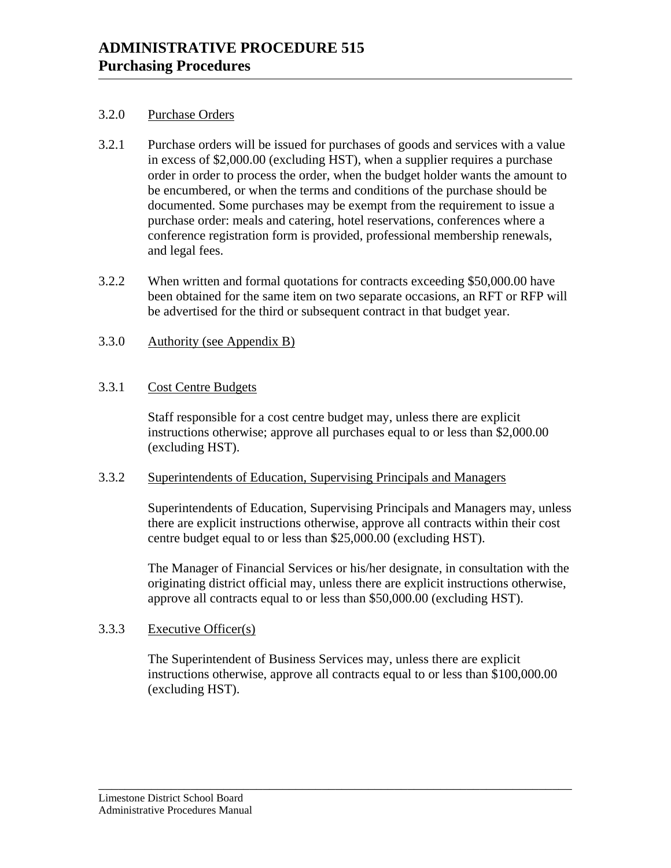#### 3.2.0 Purchase Orders

- 3.2.1 Purchase orders will be issued for purchases of goods and services with a value in excess of \$2,000.00 (excluding HST), when a supplier requires a purchase order in order to process the order, when the budget holder wants the amount to be encumbered, or when the terms and conditions of the purchase should be documented. Some purchases may be exempt from the requirement to issue a purchase order: meals and catering, hotel reservations, conferences where a conference registration form is provided, professional membership renewals, and legal fees.
- 3.2.2 When written and formal quotations for contracts exceeding \$50,000.00 have been obtained for the same item on two separate occasions, an RFT or RFP will be advertised for the third or subsequent contract in that budget year.
- 3.3.0 Authority (see Appendix B)

## 3.3.1 Cost Centre Budgets

Staff responsible for a cost centre budget may, unless there are explicit instructions otherwise; approve all purchases equal to or less than \$2,000.00 (excluding HST).

#### 3.3.2 Superintendents of Education, Supervising Principals and Managers

Superintendents of Education, Supervising Principals and Managers may, unless there are explicit instructions otherwise, approve all contracts within their cost centre budget equal to or less than \$25,000.00 (excluding HST).

The Manager of Financial Services or his/her designate, in consultation with the originating district official may, unless there are explicit instructions otherwise, approve all contracts equal to or less than \$50,000.00 (excluding HST).

#### 3.3.3 Executive Officer(s)

The Superintendent of Business Services may, unless there are explicit instructions otherwise, approve all contracts equal to or less than \$100,000.00 (excluding HST).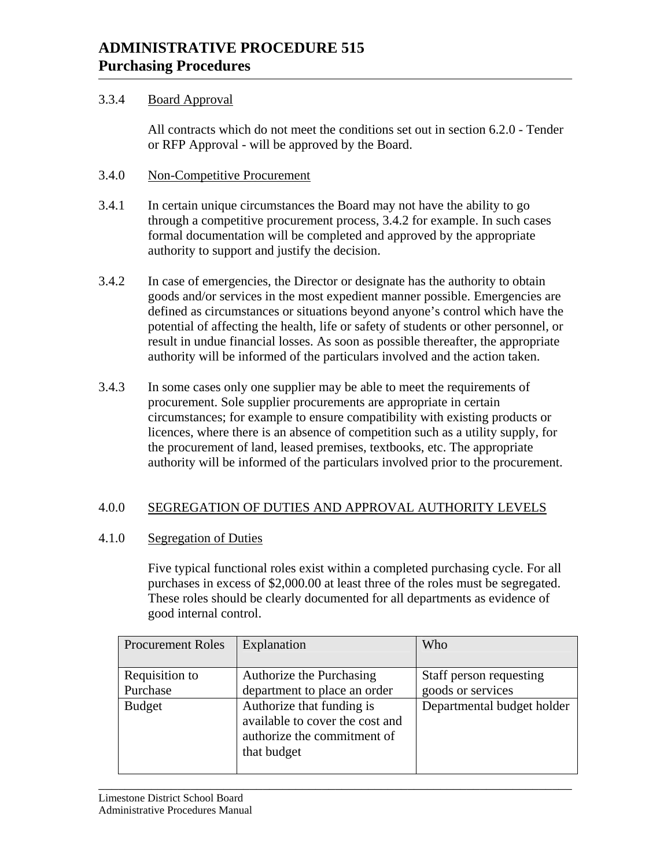# 3.3.4 Board Approval

 All contracts which do not meet the conditions set out in section 6.2.0 - Tender or RFP Approval - will be approved by the Board.

## 3.4.0 Non-Competitive Procurement

- 3.4.1 In certain unique circumstances the Board may not have the ability to go through a competitive procurement process, 3.4.2 for example. In such cases formal documentation will be completed and approved by the appropriate authority to support and justify the decision.
- 3.4.2 In case of emergencies, the Director or designate has the authority to obtain goods and/or services in the most expedient manner possible. Emergencies are defined as circumstances or situations beyond anyone's control which have the potential of affecting the health, life or safety of students or other personnel, or result in undue financial losses. As soon as possible thereafter, the appropriate authority will be informed of the particulars involved and the action taken.
- 3.4.3 In some cases only one supplier may be able to meet the requirements of procurement. Sole supplier procurements are appropriate in certain circumstances; for example to ensure compatibility with existing products or licences, where there is an absence of competition such as a utility supply, for the procurement of land, leased premises, textbooks, etc. The appropriate authority will be informed of the particulars involved prior to the procurement.

# 4.0.0 SEGREGATION OF DUTIES AND APPROVAL AUTHORITY LEVELS

#### 4.1.0 Segregation of Duties

Five typical functional roles exist within a completed purchasing cycle. For all purchases in excess of \$2,000.00 at least three of the roles must be segregated. These roles should be clearly documented for all departments as evidence of good internal control.

| <b>Procurement Roles</b>                    | Explanation                                                                                                                                                            | Who                                                                        |
|---------------------------------------------|------------------------------------------------------------------------------------------------------------------------------------------------------------------------|----------------------------------------------------------------------------|
| Requisition to<br>Purchase<br><b>Budget</b> | Authorize the Purchasing<br>department to place an order<br>Authorize that funding is<br>available to cover the cost and<br>authorize the commitment of<br>that budget | Staff person requesting<br>goods or services<br>Departmental budget holder |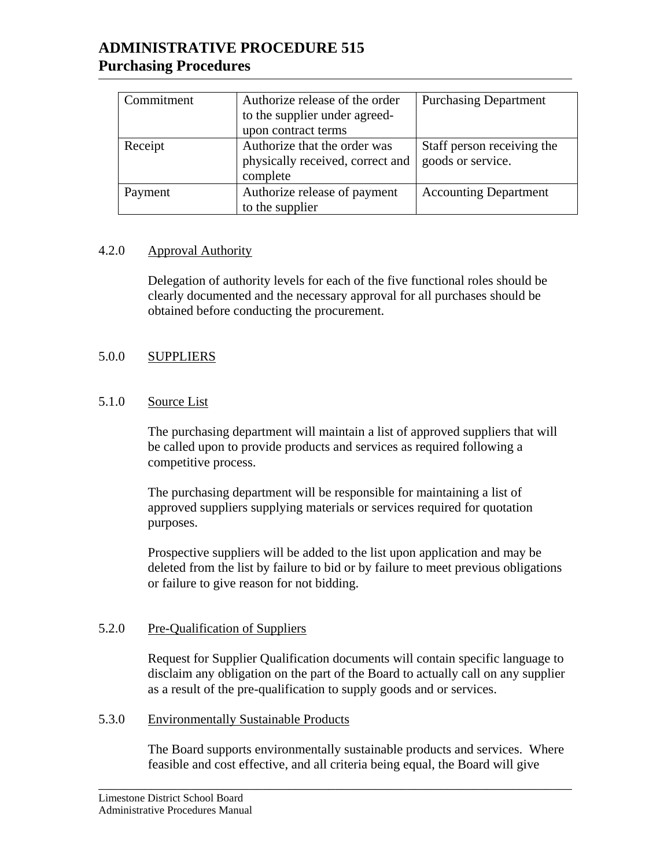| Commitment | Authorize release of the order   | <b>Purchasing Department</b> |
|------------|----------------------------------|------------------------------|
|            | to the supplier under agreed-    |                              |
|            | upon contract terms              |                              |
| Receipt    | Authorize that the order was     | Staff person receiving the   |
|            | physically received, correct and | goods or service.            |
|            | complete                         |                              |
| Payment    | Authorize release of payment     | <b>Accounting Department</b> |
|            | to the supplier                  |                              |

## 4.2.0 Approval Authority

 Delegation of authority levels for each of the five functional roles should be clearly documented and the necessary approval for all purchases should be obtained before conducting the procurement.

# 5.0.0 SUPPLIERS

## 5.1.0 Source List

The purchasing department will maintain a list of approved suppliers that will be called upon to provide products and services as required following a competitive process.

The purchasing department will be responsible for maintaining a list of approved suppliers supplying materials or services required for quotation purposes.

Prospective suppliers will be added to the list upon application and may be deleted from the list by failure to bid or by failure to meet previous obligations or failure to give reason for not bidding.

#### 5.2.0 Pre-Qualification of Suppliers

Request for Supplier Qualification documents will contain specific language to disclaim any obligation on the part of the Board to actually call on any supplier as a result of the pre-qualification to supply goods and or services.

#### 5.3.0 Environmentally Sustainable Products

 The Board supports environmentally sustainable products and services. Where feasible and cost effective, and all criteria being equal, the Board will give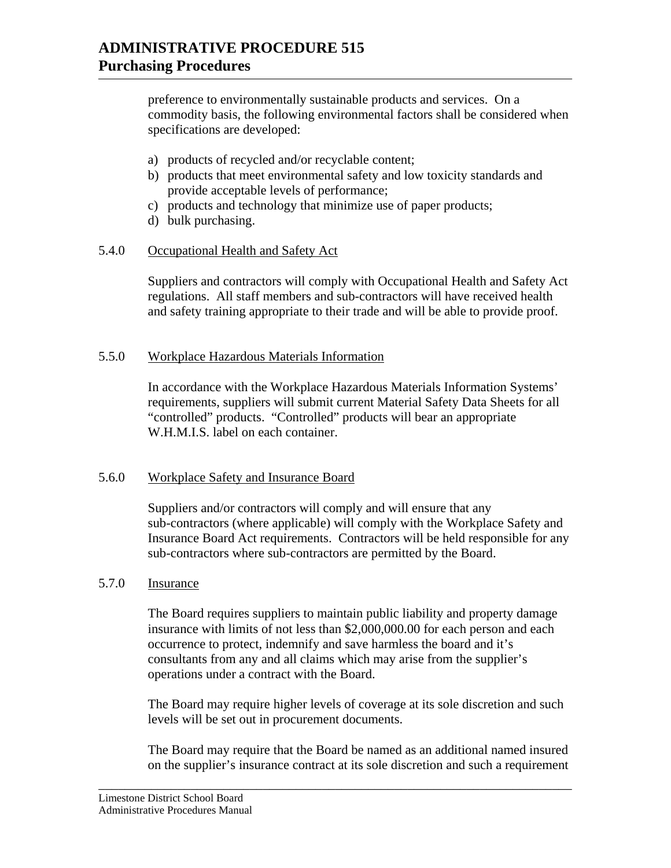preference to environmentally sustainable products and services. On a commodity basis, the following environmental factors shall be considered when specifications are developed:

- a) products of recycled and/or recyclable content;
- b) products that meet environmental safety and low toxicity standards and provide acceptable levels of performance;
- c) products and technology that minimize use of paper products;
- d) bulk purchasing.

## 5.4.0 Occupational Health and Safety Act

Suppliers and contractors will comply with Occupational Health and Safety Act regulations. All staff members and sub-contractors will have received health and safety training appropriate to their trade and will be able to provide proof.

## 5.5.0 Workplace Hazardous Materials Information

In accordance with the Workplace Hazardous Materials Information Systems' requirements, suppliers will submit current Material Safety Data Sheets for all "controlled" products. "Controlled" products will bear an appropriate W.H.M.I.S. label on each container.

#### 5.6.0 Workplace Safety and Insurance Board

Suppliers and/or contractors will comply and will ensure that any sub-contractors (where applicable) will comply with the Workplace Safety and Insurance Board Act requirements. Contractors will be held responsible for any sub-contractors where sub-contractors are permitted by the Board.

#### 5.7.0 Insurance

The Board requires suppliers to maintain public liability and property damage insurance with limits of not less than \$2,000,000.00 for each person and each occurrence to protect, indemnify and save harmless the board and it's consultants from any and all claims which may arise from the supplier's operations under a contract with the Board.

The Board may require higher levels of coverage at its sole discretion and such levels will be set out in procurement documents.

The Board may require that the Board be named as an additional named insured on the supplier's insurance contract at its sole discretion and such a requirement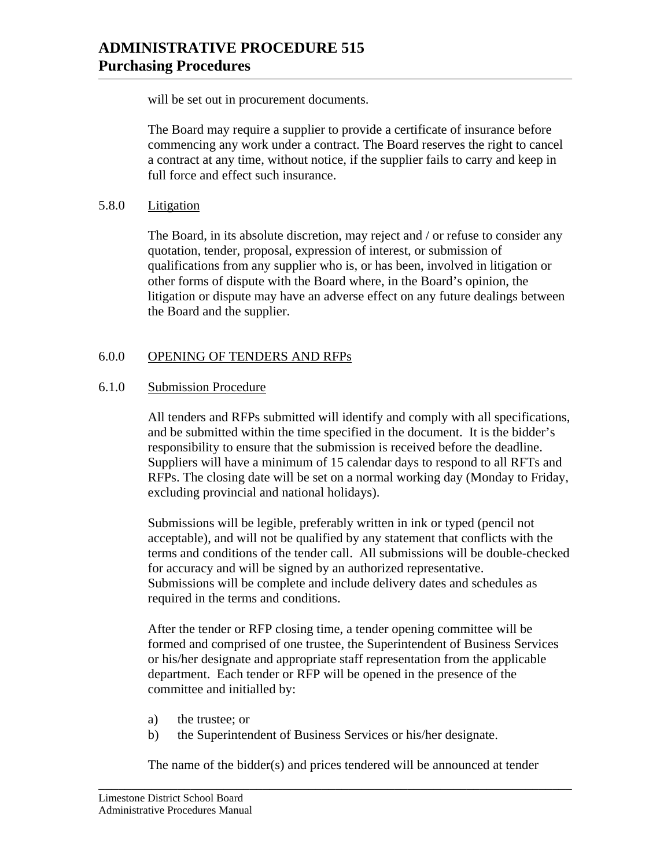will be set out in procurement documents.

The Board may require a supplier to provide a certificate of insurance before commencing any work under a contract. The Board reserves the right to cancel a contract at any time, without notice, if the supplier fails to carry and keep in full force and effect such insurance.

## 5.8.0 Litigation

The Board, in its absolute discretion, may reject and / or refuse to consider any quotation, tender, proposal, expression of interest, or submission of qualifications from any supplier who is, or has been, involved in litigation or other forms of dispute with the Board where, in the Board's opinion, the litigation or dispute may have an adverse effect on any future dealings between the Board and the supplier.

# 6.0.0 OPENING OF TENDERS AND RFPs

# 6.1.0 Submission Procedure

All tenders and RFPs submitted will identify and comply with all specifications, and be submitted within the time specified in the document. It is the bidder's responsibility to ensure that the submission is received before the deadline. Suppliers will have a minimum of 15 calendar days to respond to all RFTs and RFPs. The closing date will be set on a normal working day (Monday to Friday, excluding provincial and national holidays).

Submissions will be legible, preferably written in ink or typed (pencil not acceptable), and will not be qualified by any statement that conflicts with the terms and conditions of the tender call. All submissions will be double-checked for accuracy and will be signed by an authorized representative. Submissions will be complete and include delivery dates and schedules as required in the terms and conditions.

After the tender or RFP closing time, a tender opening committee will be formed and comprised of one trustee, the Superintendent of Business Services or his/her designate and appropriate staff representation from the applicable department. Each tender or RFP will be opened in the presence of the committee and initialled by:

- a) the trustee; or
- b) the Superintendent of Business Services or his/her designate.

The name of the bidder(s) and prices tendered will be announced at tender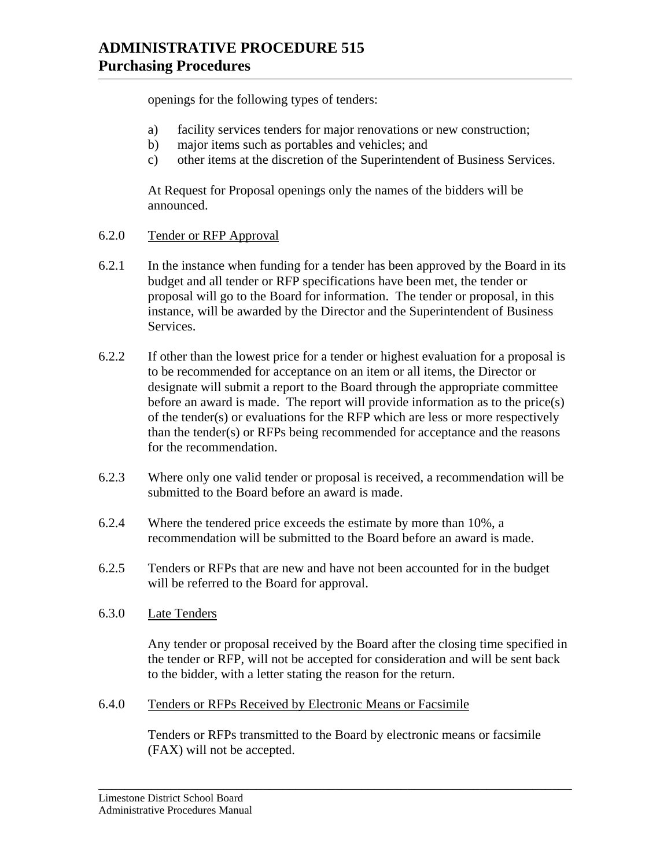openings for the following types of tenders:

- a) facility services tenders for major renovations or new construction;
- b) major items such as portables and vehicles; and
- c) other items at the discretion of the Superintendent of Business Services.

At Request for Proposal openings only the names of the bidders will be announced.

- 6.2.0 Tender or RFP Approval
- 6.2.1 In the instance when funding for a tender has been approved by the Board in its budget and all tender or RFP specifications have been met, the tender or proposal will go to the Board for information. The tender or proposal, in this instance, will be awarded by the Director and the Superintendent of Business Services.
- 6.2.2 If other than the lowest price for a tender or highest evaluation for a proposal is to be recommended for acceptance on an item or all items, the Director or designate will submit a report to the Board through the appropriate committee before an award is made. The report will provide information as to the price(s) of the tender(s) or evaluations for the RFP which are less or more respectively than the tender(s) or RFPs being recommended for acceptance and the reasons for the recommendation.
- 6.2.3 Where only one valid tender or proposal is received, a recommendation will be submitted to the Board before an award is made.
- 6.2.4 Where the tendered price exceeds the estimate by more than 10%, a recommendation will be submitted to the Board before an award is made.
- 6.2.5 Tenders or RFPs that are new and have not been accounted for in the budget will be referred to the Board for approval.
- 6.3.0 Late Tenders

Any tender or proposal received by the Board after the closing time specified in the tender or RFP, will not be accepted for consideration and will be sent back to the bidder, with a letter stating the reason for the return.

6.4.0 Tenders or RFPs Received by Electronic Means or Facsimile

Tenders or RFPs transmitted to the Board by electronic means or facsimile (FAX) will not be accepted.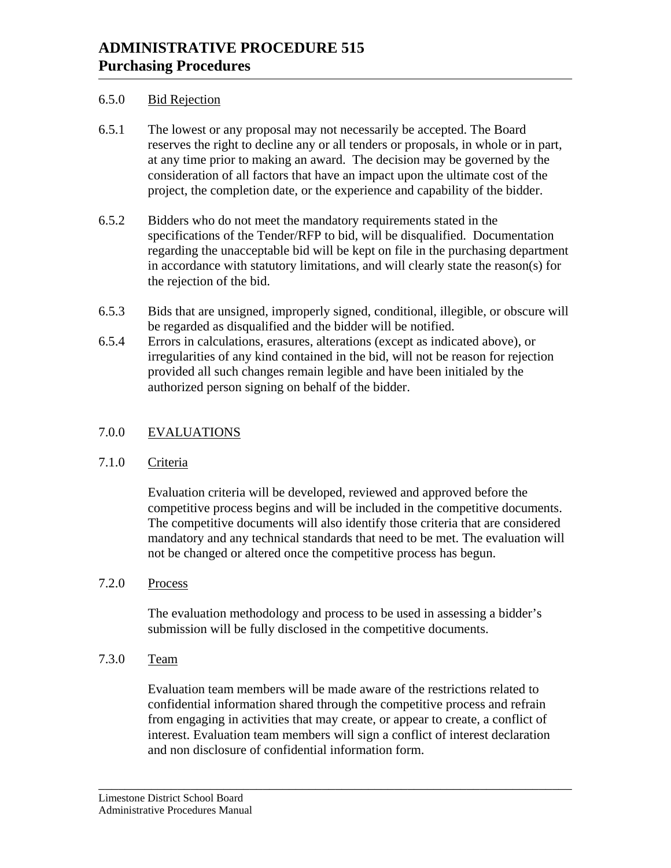## 6.5.0 Bid Rejection

- 6.5.1 The lowest or any proposal may not necessarily be accepted. The Board reserves the right to decline any or all tenders or proposals, in whole or in part, at any time prior to making an award. The decision may be governed by the consideration of all factors that have an impact upon the ultimate cost of the project, the completion date, or the experience and capability of the bidder.
- 6.5.2 Bidders who do not meet the mandatory requirements stated in the specifications of the Tender/RFP to bid, will be disqualified. Documentation regarding the unacceptable bid will be kept on file in the purchasing department in accordance with statutory limitations, and will clearly state the reason(s) for the rejection of the bid.
- 6.5.3 Bids that are unsigned, improperly signed, conditional, illegible, or obscure will be regarded as disqualified and the bidder will be notified.
- 6.5.4 Errors in calculations, erasures, alterations (except as indicated above), or irregularities of any kind contained in the bid, will not be reason for rejection provided all such changes remain legible and have been initialed by the authorized person signing on behalf of the bidder.

# 7.0.0 EVALUATIONS

# 7.1.0 Criteria

Evaluation criteria will be developed, reviewed and approved before the competitive process begins and will be included in the competitive documents. The competitive documents will also identify those criteria that are considered mandatory and any technical standards that need to be met. The evaluation will not be changed or altered once the competitive process has begun.

7.2.0 Process

The evaluation methodology and process to be used in assessing a bidder's submission will be fully disclosed in the competitive documents.

7.3.0 Team

Evaluation team members will be made aware of the restrictions related to confidential information shared through the competitive process and refrain from engaging in activities that may create, or appear to create, a conflict of interest. Evaluation team members will sign a conflict of interest declaration and non disclosure of confidential information form.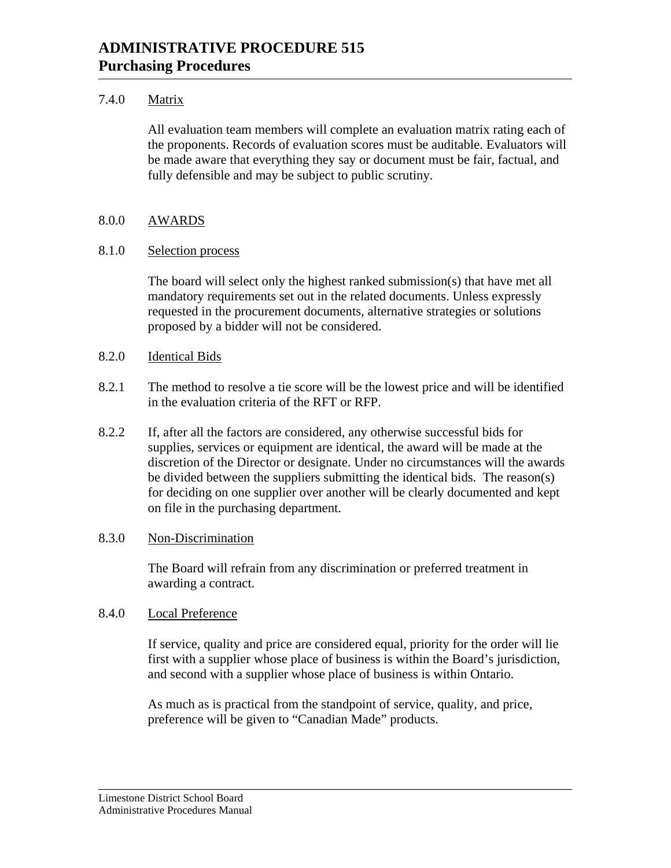## 7.4.0 Matrix

All evaluation team members will complete an evaluation matrix rating each of the proponents. Records of evaluation scores must be auditable. Evaluators will be made aware that everything they say or document must be fair, factual, and fully defensible and may be subject to public scrutiny.

# 8.0.0 AWARDS

## 8.1.0 Selection process

 The board will select only the highest ranked submission(s) that have met all mandatory requirements set out in the related documents. Unless expressly requested in the procurement documents, alternative strategies or solutions proposed by a bidder will not be considered.

## 8.2.0 Identical Bids

- 8.2.1 The method to resolve a tie score will be the lowest price and will be identified in the evaluation criteria of the RFT or RFP.
- 8.2.2 If, after all the factors are considered, any otherwise successful bids for supplies, services or equipment are identical, the award will be made at the discretion of the Director or designate. Under no circumstances will the awards be divided between the suppliers submitting the identical bids. The reason(s) for deciding on one supplier over another will be clearly documented and kept on file in the purchasing department.

#### 8.3.0 Non-Discrimination

The Board will refrain from any discrimination or preferred treatment in awarding a contract.

#### 8.4.0 Local Preference

 If service, quality and price are considered equal, priority for the order will lie first with a supplier whose place of business is within the Board's jurisdiction, and second with a supplier whose place of business is within Ontario.

 As much as is practical from the standpoint of service, quality, and price, preference will be given to "Canadian Made" products.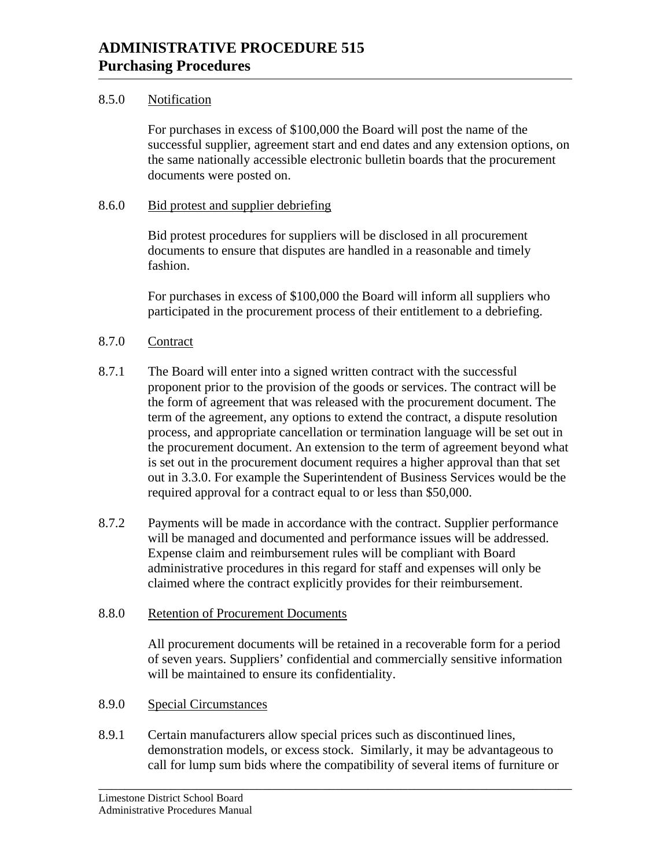## 8.5.0 Notification

For purchases in excess of \$100,000 the Board will post the name of the successful supplier, agreement start and end dates and any extension options, on the same nationally accessible electronic bulletin boards that the procurement documents were posted on.

## 8.6.0 Bid protest and supplier debriefing

Bid protest procedures for suppliers will be disclosed in all procurement documents to ensure that disputes are handled in a reasonable and timely fashion.

For purchases in excess of \$100,000 the Board will inform all suppliers who participated in the procurement process of their entitlement to a debriefing.

## 8.7.0 Contract

- 8.7.1 The Board will enter into a signed written contract with the successful proponent prior to the provision of the goods or services. The contract will be the form of agreement that was released with the procurement document. The term of the agreement, any options to extend the contract, a dispute resolution process, and appropriate cancellation or termination language will be set out in the procurement document. An extension to the term of agreement beyond what is set out in the procurement document requires a higher approval than that set out in 3.3.0. For example the Superintendent of Business Services would be the required approval for a contract equal to or less than \$50,000.
- 8.7.2 Payments will be made in accordance with the contract. Supplier performance will be managed and documented and performance issues will be addressed. Expense claim and reimbursement rules will be compliant with Board administrative procedures in this regard for staff and expenses will only be claimed where the contract explicitly provides for their reimbursement.

#### 8.8.0 Retention of Procurement Documents

All procurement documents will be retained in a recoverable form for a period of seven years. Suppliers' confidential and commercially sensitive information will be maintained to ensure its confidentiality.

#### 8.9.0 Special Circumstances

8.9.1 Certain manufacturers allow special prices such as discontinued lines, demonstration models, or excess stock. Similarly, it may be advantageous to call for lump sum bids where the compatibility of several items of furniture or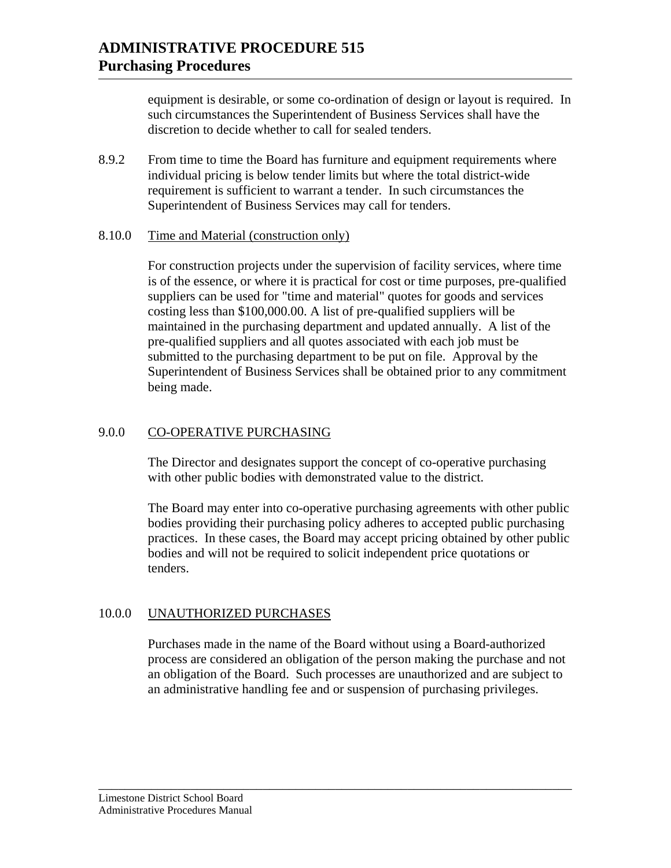equipment is desirable, or some co-ordination of design or layout is required. In such circumstances the Superintendent of Business Services shall have the discretion to decide whether to call for sealed tenders.

8.9.2 From time to time the Board has furniture and equipment requirements where individual pricing is below tender limits but where the total district-wide requirement is sufficient to warrant a tender. In such circumstances the Superintendent of Business Services may call for tenders.

#### 8.10.0 Time and Material (construction only)

For construction projects under the supervision of facility services, where time is of the essence, or where it is practical for cost or time purposes, pre-qualified suppliers can be used for "time and material" quotes for goods and services costing less than \$100,000.00. A list of pre-qualified suppliers will be maintained in the purchasing department and updated annually. A list of the pre-qualified suppliers and all quotes associated with each job must be submitted to the purchasing department to be put on file. Approval by the Superintendent of Business Services shall be obtained prior to any commitment being made.

# 9.0.0 CO-OPERATIVE PURCHASING

The Director and designates support the concept of co-operative purchasing with other public bodies with demonstrated value to the district.

The Board may enter into co-operative purchasing agreements with other public bodies providing their purchasing policy adheres to accepted public purchasing practices. In these cases, the Board may accept pricing obtained by other public bodies and will not be required to solicit independent price quotations or tenders.

# 10.0.0 UNAUTHORIZED PURCHASES

Purchases made in the name of the Board without using a Board-authorized process are considered an obligation of the person making the purchase and not an obligation of the Board. Such processes are unauthorized and are subject to an administrative handling fee and or suspension of purchasing privileges.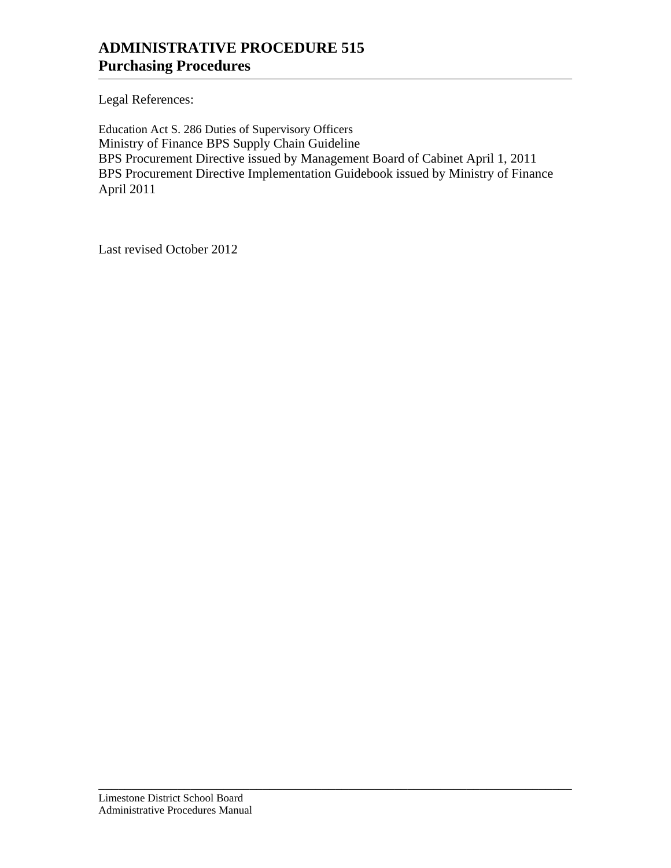Legal References:

Education Act S. 286 Duties of Supervisory Officers Ministry of Finance BPS Supply Chain Guideline BPS Procurement Directive issued by Management Board of Cabinet April 1, 2011 BPS Procurement Directive Implementation Guidebook issued by Ministry of Finance April 2011

\_\_\_\_\_\_\_\_\_\_\_\_\_\_\_\_\_\_\_\_\_\_\_\_\_\_\_\_\_\_\_\_\_\_\_\_\_\_\_\_\_\_\_\_\_\_\_\_\_\_\_\_\_\_\_\_\_\_\_\_\_\_\_\_\_\_\_\_\_\_\_\_

Last revised October 2012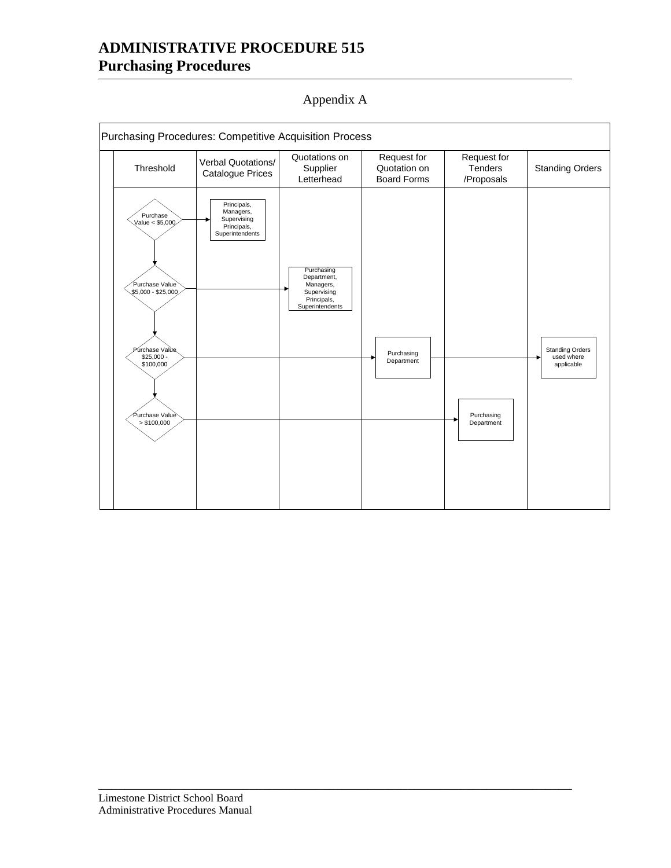Purchasing Procedures: Competitive Acquisition Process Verbal Quotations/ Verbal Quotations<br>Catalogue Prices Standing Orders Catalogue Prices Standing Orders Quotations on Supplier Letterhead Request for Quotation on Board Forms Request for **Tenders** /Proposals Threshold Púrchase Valùe<br>\$25,000 -<br>√ \$100,000 / Purchasing Department Purchase Value \$5,000 - \$25,000 Purchasing Department Standing Orders used where applicable Purchase Value < \$5,000 Purchasing Department, Managers, Supervising Principals, Superintendents Principals, Managers, Supervising Principals, Superintendents Purchase Value`<br>(>\$100,000

\_\_\_\_\_\_\_\_\_\_\_\_\_\_\_\_\_\_\_\_\_\_\_\_\_\_\_\_\_\_\_\_\_\_\_\_\_\_\_\_\_\_\_\_\_\_\_\_\_\_\_\_\_\_\_\_\_\_\_\_\_\_\_\_\_\_\_\_\_\_\_\_

Appendix A